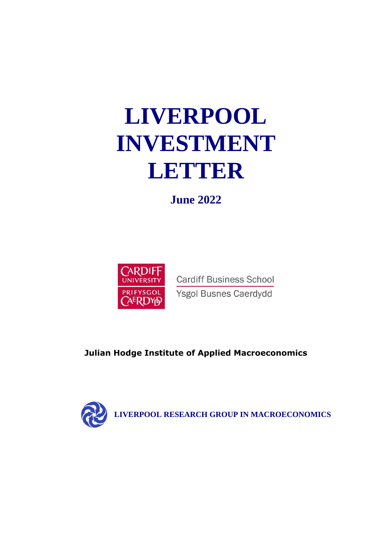# **LIVERPOOL INVESTMENT LETTER**

**June 2022**



**Cardiff Business School** Ysgol Busnes Caerdydd

**Julian Hodge Institute of Applied Macroeconomics**

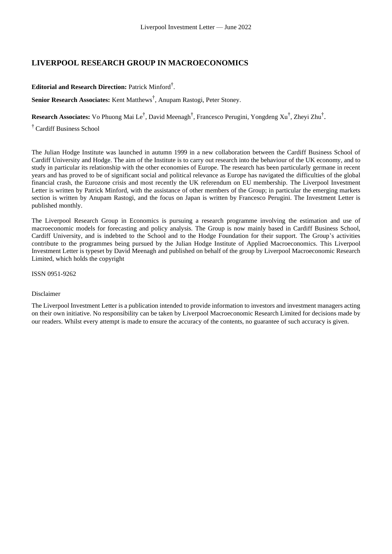### **LIVERPOOL RESEARCH GROUP IN MACROECONOMICS**

### **Editorial and Research Direction:** Patrick Minford† .

**Senior Research Associates:** Kent Matthews† , Anupam Rastogi, Peter Stoney.

**Research Associates:** Vo Phuong Mai Le† , David Meenagh† , Francesco Perugini, Yongdeng Xu† , Zheyi Zhu† .

† Cardiff Business School

The Julian Hodge Institute was launched in autumn 1999 in a new collaboration between the Cardiff Business School of Cardiff University and Hodge. The aim of the Institute is to carry out research into the behaviour of the UK economy, and to study in particular its relationship with the other economies of Europe. The research has been particularly germane in recent years and has proved to be of significant social and political relevance as Europe has navigated the difficulties of the global financial crash, the Eurozone crisis and most recently the UK referendum on EU membership. The Liverpool Investment Letter is written by Patrick Minford, with the assistance of other members of the Group; in particular the emerging markets section is written by Anupam Rastogi, and the focus on Japan is written by Francesco Perugini. The Investment Letter is published monthly.

The Liverpool Research Group in Economics is pursuing a research programme involving the estimation and use of macroeconomic models for forecasting and policy analysis. The Group is now mainly based in Cardiff Business School, Cardiff University, and is indebted to the School and to the Hodge Foundation for their support. The Group's activities contribute to the programmes being pursued by the Julian Hodge Institute of Applied Macroeconomics. This Liverpool Investment Letter is typeset by David Meenagh and published on behalf of the group by Liverpool Macroeconomic Research Limited, which holds the copyright

ISSN 0951-9262

#### Disclaimer

The Liverpool Investment Letter is a publication intended to provide information to investors and investment managers acting on their own initiative. No responsibility can be taken by Liverpool Macroeconomic Research Limited for decisions made by our readers. Whilst every attempt is made to ensure the accuracy of the contents, no guarantee of such accuracy is given.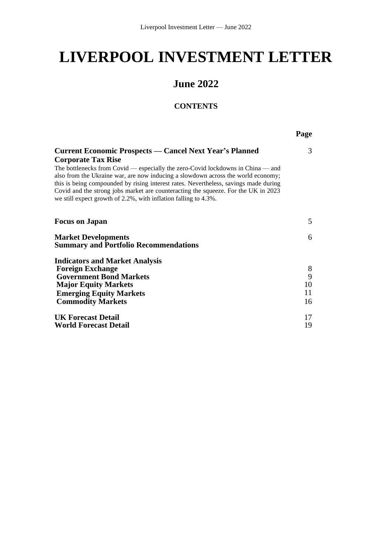## **LIVERPOOL INVESTMENT LETTER**

### **June 2022**

### **CONTENTS**

**Page**

| <b>Current Economic Prospects — Cancel Next Year's Planned</b>                                                                                                                                                                                                                                                                                                                                                                                    | 3      |
|---------------------------------------------------------------------------------------------------------------------------------------------------------------------------------------------------------------------------------------------------------------------------------------------------------------------------------------------------------------------------------------------------------------------------------------------------|--------|
| <b>Corporate Tax Rise</b><br>The bottlenecks from Covid — especially the zero-Covid lockdowns in China — and<br>also from the Ukraine war, are now inducing a slowdown across the world economy;<br>this is being compounded by rising interest rates. Nevertheless, savings made during<br>Covid and the strong jobs market are counteracting the squeeze. For the UK in 2023<br>we still expect growth of 2.2%, with inflation falling to 4.3%. |        |
| <b>Focus on Japan</b>                                                                                                                                                                                                                                                                                                                                                                                                                             | 5      |
| <b>Market Developments</b><br><b>Summary and Portfolio Recommendations</b>                                                                                                                                                                                                                                                                                                                                                                        | 6      |
| <b>Indicators and Market Analysis</b>                                                                                                                                                                                                                                                                                                                                                                                                             |        |
| <b>Foreign Exchange</b>                                                                                                                                                                                                                                                                                                                                                                                                                           | 8<br>9 |
| <b>Government Bond Markets</b><br><b>Major Equity Markets</b>                                                                                                                                                                                                                                                                                                                                                                                     | 10     |
| <b>Emerging Equity Markets</b>                                                                                                                                                                                                                                                                                                                                                                                                                    | 11     |
| <b>Commodity Markets</b>                                                                                                                                                                                                                                                                                                                                                                                                                          | 16     |
| <b>UK Forecast Detail</b>                                                                                                                                                                                                                                                                                                                                                                                                                         | 17     |
| World Forecast Detail                                                                                                                                                                                                                                                                                                                                                                                                                             | 19     |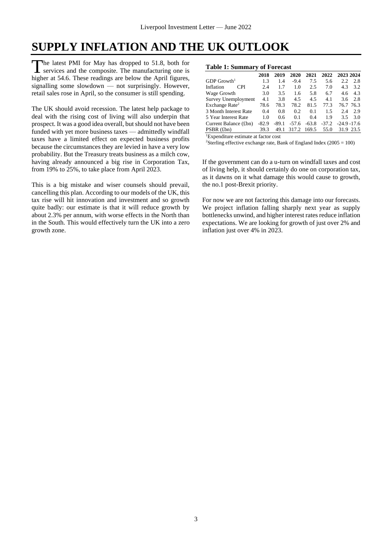### **SUPPLY INFLATION AND THE UK OUTLOOK**

he latest PMI for May has dropped to 51.8, both for The latest PMI for May has dropped to 51.8, both for<br>services and the composite. The manufacturing one is higher at 54.6. These readings are below the April figures, signalling some slowdown — not surprisingly. However, retail sales rose in April, so the consumer is still spending.

The UK should avoid recession. The latest help package to deal with the rising cost of living will also underpin that prospect. It was a good idea overall, but should not have been funded with yet more business taxes — admittedly windfall taxes have a limited effect on expected business profits because the circumstances they are levied in have a very low probability. But the Treasury treats business as a milch cow, having already announced a big rise in Corporation Tax, from 19% to 25%, to take place from April 2023.

This is a big mistake and wiser counsels should prevail, cancelling this plan. According to our models of the UK, this tax rise will hit innovation and investment and so growth quite badly: our estimate is that it will reduce growth by about 2.3% per annum, with worse effects in the North than in the South. This would effectively turn the UK into a zero growth zone.

#### **Table 1: Summary of Forecast**

| 2018    | 2019    | 2020    | 2021    | 2022    | 2023 2024      |           |
|---------|---------|---------|---------|---------|----------------|-----------|
| 1.3     | 1.4     | $-9.4$  | 7.5     | 5.6     | 2.2            | 2.8       |
| 2.4     | 1.7     | 1.0     | 2.5     | 7.0     | 4.3            | 3.2       |
| 3.0     | 3.5     | 1.6     | 5.8     | 6.7     | 4.6            | 4.3       |
| 4.1     | 3.8     | 4.5     | 4.5     | 4.1     | 3.6            | 2.8       |
| 78.6    | 78.3    | 78.2    | 81.5    | 77.3    | 76.7 76.3      |           |
| 0.4     | 0.8     | 0.2     | 0.1     | 1.5     | 2.4            | 2.9       |
| 1.0     | 0.6     | 0.1     | 0.4     | 19      | 3.5            | 3.0       |
| $-82.9$ | $-89.1$ | $-57.6$ | $-63.8$ | $-37.2$ | $-24.9 - 17.6$ |           |
| 39.3    | 49.1    | 317.2   | 169.5   | 55.0    |                | 31.9 23.5 |
|         |         |         |         |         |                |           |

<sup>1</sup>Expenditure estimate at factor cost

<sup>2</sup>Sterling effective exchange rate, Bank of England Index ( $2005 = 100$ )

If the government can do a u-turn on windfall taxes and cost of living help, it should certainly do one on corporation tax, as it dawns on it what damage this would cause to growth, the no.1 post-Brexit priority.

For now we are not factoring this damage into our forecasts. We project inflation falling sharply next year as supply bottlenecks unwind, and higher interest rates reduce inflation expectations. We are looking for growth of just over 2% and inflation just over 4% in 2023.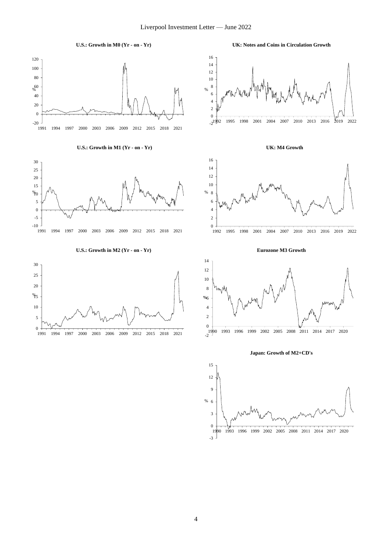

#### **U.S.: Growth in M1 (Yr - on - Yr)**



#### **U.S.: Growth in M2 (Yr - on - Yr)**



**UK: Notes and Coins in Circulation Growth**







**Eurozone M3 Growth**



**Japan: Growth of M2+CD's**

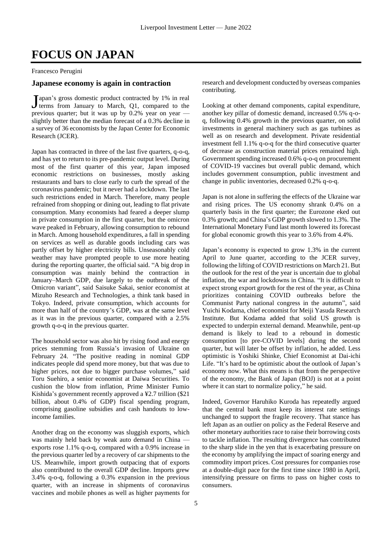### **FOCUS ON JAPAN**

Francesco Perugini

#### **Japanese economy is again in contraction**

apan's gross domestic product contracted by 1% in real  $\int$ apan's gross domestic product contracted by 1% in real<br>derms from January to March, Q1, compared to the previous quarter; but it was up by 0.2% year on year slightly better than the median forecast of a 0.3% decline in a survey of 36 economists by the Japan Center for Economic Research (JCER).

Japan has contracted in three of the last five quarters, q-o-q, and has yet to return to its pre-pandemic output level. During most of the first quarter of this year, Japan imposed economic restrictions on businesses, mostly asking restaurants and bars to close early to curb the spread of the coronavirus pandemic; but it never had a lockdown. The last such restrictions ended in March. Therefore, many people refrained from shopping or dining out, leading to flat private consumption. Many economists had feared a deeper slump in private consumption in the first quarter, but the omicron wave peaked in February, allowing consumption to rebound in March. Among household expenditures, a fall in spending on services as well as durable goods including cars was partly offset by higher electricity bills. Unseasonably cold weather may have prompted people to use more heating during the reporting quarter, the official said. "A big drop in consumption was mainly behind the contraction in January–March GDP, due largely to the outbreak of the Omicron variant", said Saisuke Sakai, senior economist at Mizuho Research and Technologies, a think tank based in Tokyo. Indeed, private consumption, which accounts for more than half of the country's GDP, was at the same level as it was in the previous quarter, compared with a 2.5% growth q-o-q in the previous quarter.

The household sector was also hit by rising food and energy prices stemming from Russia's invasion of Ukraine on February 24. "The positive reading in nominal GDP indicates people did spend more money, but that was due to higher prices, not due to bigger purchase volumes," said Toru Suehiro, a senior economist at Daiwa Securities. To cushion the blow from inflation, Prime Minister Fumio Kishida's government recently approved a ¥2.7 trillion (\$21 billion, about 0.4% of GDP) fiscal spending program, comprising gasoline subsidies and cash handouts to lowincome families.

Another drag on the economy was sluggish exports, which was mainly held back by weak auto demand in China exports rose 1.1% q-o-q, compared with a 0.9% increase in the previous quarter led by a recovery of car shipments to the US. Meanwhile, import growth outpacing that of exports also contributed to the overall GDP decline. Imports grew 3.4% q-o-q, following a 0.3% expansion in the previous quarter, with an increase in shipments of coronavirus vaccines and mobile phones as well as higher payments for research and development conducted by overseas companies contributing.

Looking at other demand components, capital expenditure, another key pillar of domestic demand, increased 0.5% q-oq, following 0.4% growth in the previous quarter, on solid investments in general machinery such as gas turbines as well as on research and development. Private residential investment fell 1.1% q-o-q for the third consecutive quarter of decrease as construction material prices remained high. Government spending increased 0.6% q-o-q on procurement of COVID-19 vaccines but overall public demand, which includes government consumption, public investment and change in public inventories, decreased 0.2% q-o-q.

Japan is not alone in suffering the effects of the Ukraine war and rising prices. The US economy shrank 0.4% on a quarterly basis in the first quarter; the Eurozone eked out 0.3% growth; and China's GDP growth slowed to 1.3%. The International Monetary Fund last month lowered its forecast for global economic growth this year to 3.6% from 4.4%.

Japan's economy is expected to grow 1.3% in the current April to June quarter, according to the JCER survey, following the lifting of COVID restrictions on March 21. But the outlook for the rest of the year is uncertain due to global inflation, the war and lockdowns in China. "It is difficult to expect strong export growth for the rest of the year, as China prioritizes containing COVID outbreaks before the Communist Party national congress in the autumn", said Yuichi Kodama, chief economist for Meiji Yasuda Research Institute. But Kodama added that solid US growth is expected to underpin external demand. Meanwhile, pent-up demand is likely to lead to a rebound in domestic consumption [to pre-COVID levels] during the second quarter, but will later be offset by inflation, he added. Less optimistic is Yoshiki Shinke, Chief Economist at Dai-ichi Life. "It's hard to be optimistic about the outlook of Japan's economy now. What this means is that from the perspective of the economy, the Bank of Japan (BOJ) is not at a point where it can start to normalize policy," he said.

Indeed, Governor Haruhiko Kuroda has repeatedly argued that the central bank must keep its interest rate settings unchanged to support the fragile recovery. That stance has left Japan as an outlier on policy as the Federal Reserve and other monetary authorities race to raise their borrowing costs to tackle inflation. The resulting divergence has contributed to the sharp slide in the yen that is exacerbating pressure on the economy by amplifying the impact of soaring energy and commodity import prices. Cost pressures for companies rose at a double-digit pace for the first time since 1980 in April, intensifying pressure on firms to pass on higher costs to consumers.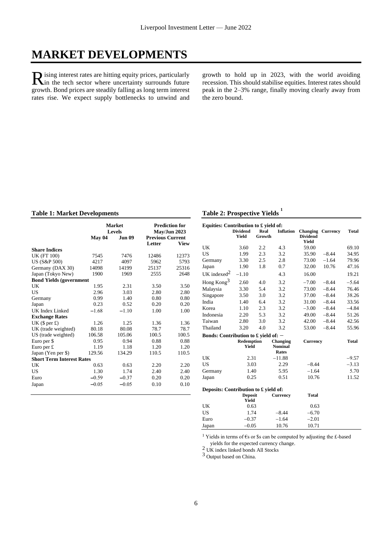### **MARKET DEVELOPMENTS**

ising interest rates are hitting equity prices, particularly R ising interest rates are hitting equity prices, particularly<br>in the tech sector where uncertainty surrounds future growth. Bond prices are steadily falling as long term interest rates rise. We expect supply bottlenecks to unwind and

growth to hold up in 2023, with the world avoiding recession. This should stabilise equities. Interest rates should peak in the 2–3% range, finally moving clearly away from the zero bound.

#### **Table 1: Market Developments**

|                                  |         | <b>Market</b><br><b>Levels</b> | <b>Prediction for</b><br>May/Jun 2023 |             |  |
|----------------------------------|---------|--------------------------------|---------------------------------------|-------------|--|
|                                  | May 04  | <b>Jun 09</b>                  | <b>Previous Current</b>               |             |  |
|                                  |         |                                | Letter                                | <b>View</b> |  |
| <b>Share Indices</b>             |         |                                |                                       |             |  |
| <b>UK (FT 100)</b>               | 7545    | 7476                           | 12486                                 | 12373       |  |
| US (S&P 500)                     | 4217    | 4097                           | 5962                                  | 5793        |  |
| Germany (DAX 30)                 | 14098   | 14199                          | 25137                                 | 25316       |  |
| Japan (Tokyo New)                | 1900    | 1969                           | 2555                                  | 2648        |  |
| <b>Bond Yields (government</b>   |         |                                |                                       |             |  |
| UK                               | 1.95    | 2.31                           | 3.50                                  | 3.50        |  |
| US                               | 2.96    | 3.03                           | 2.80                                  | 2.80        |  |
| Germany                          | 0.99    | 1.40                           | 0.80                                  | 0.80        |  |
| Japan                            | 0.23    | 0.52                           | 0.20                                  | 0.20        |  |
| UK Index Linked                  | $-1.68$ | $-1.10$                        | 1.00                                  | 1.00        |  |
| <b>Exchange Rates</b>            |         |                                |                                       |             |  |
| UK $(\$$ per £)                  | 1.26    | 1.25                           | 1.36                                  | 1.36        |  |
| UK (trade weighted)              | 80.18   | 80.08                          | 78.7                                  | 78.7        |  |
| US (trade weighted)              | 106.58  | 105.06                         | 100.5                                 | 100.5       |  |
| Euro per \$                      | 0.95    | 0.94                           | 0.88                                  | 0.88        |  |
| Euro per $f$                     | 1.19    | 1.18                           | 1.20                                  | 1.20        |  |
| Japan (Yen per \$)               | 129.56  | 134.29                         | 110.5                                 | 110.5       |  |
| <b>Short Term Interest Rates</b> |         |                                |                                       |             |  |
| UK                               | 0.63    | 0.63                           | 2.20                                  | 2.20        |  |
| US                               | 1.30    | 1.74                           | 2.40                                  | 2.40        |  |
| Euro                             | $-0.59$ | $-0.37$                        | 0.20                                  | 0.20        |  |
| Japan                            | $-0.05$ | $-0.05$                        | 0.10                                  | 0.10        |  |

### **Table 2: Prospective Yields <sup>1</sup>**

| Equities: Contribution to $\pounds$ yield of: |                          |                |                                     |                          |                          |              |  |  |  |  |
|-----------------------------------------------|--------------------------|----------------|-------------------------------------|--------------------------|--------------------------|--------------|--|--|--|--|
|                                               | <b>Dividend</b><br>Yield | Real<br>Growth | <b>Inflation</b>                    | <b>Dividend</b><br>Yield | <b>Changing Currency</b> | <b>Total</b> |  |  |  |  |
| UK                                            | 3.60                     | 2.2            | 4.3                                 | 59.00                    |                          | 69.10        |  |  |  |  |
| US.                                           | 1.99                     | 2.3            | 3.2                                 | 35.90                    | $-8.44$                  | 34.95        |  |  |  |  |
| Germany                                       | 3.30                     | 2.5            | 2.8                                 | 73.00                    | $-1.64$                  | 79.96        |  |  |  |  |
| Japan                                         | 1.90                     | 1.8            | 0.7                                 | 32.00                    | 10.76                    | 47.16        |  |  |  |  |
| UK indexed <sup>2</sup>                       | $-1.10$                  |                | 4.3                                 | 16.00                    |                          | 19.21        |  |  |  |  |
| Hong Kong <sup>3</sup>                        | 2.60                     | 4.0            | 3.2                                 | $-7.00$                  | $-8.44$                  | $-5.64$      |  |  |  |  |
| Malaysia                                      | 3.30                     | 5.4            | 3.2                                 | 73.00                    | $-8.44$                  | 76.46        |  |  |  |  |
| Singapore                                     | 3.50                     | 3.0            | 3.2                                 | 37.00                    | $-8.44$                  | 38.26        |  |  |  |  |
| India                                         | 1.40                     | 6.4            | 3.2                                 | 31.00                    | $-8.44$                  | 33.56        |  |  |  |  |
| Korea                                         | 1.10                     | 2.3            | 3.2                                 | $-3.00$                  | $-8.44$                  | $-4.84$      |  |  |  |  |
| Indonesia                                     | 2.20                     | 5.3            | 3.2                                 | 49.00                    | $-8.44$                  | 51.26        |  |  |  |  |
| Taiwan                                        | 2.80                     | 3.0            | 3.2                                 | 42.00                    | $-8.44$                  | 42.56        |  |  |  |  |
| Thailand                                      | 3.20                     | 4.0            | 3.2                                 | 53.00                    | $-8.44$                  | 55.96        |  |  |  |  |
| Bonds: Contribution to £ yield of: $-$        |                          |                |                                     |                          |                          |              |  |  |  |  |
|                                               | Redemption<br>Yield      |                | Changing<br><b>Nominal</b><br>Rates | <b>Currency</b>          |                          | Total        |  |  |  |  |
| UK                                            | 2.31                     |                | $-11.88$                            |                          |                          | $-9.57$      |  |  |  |  |
| US                                            | 3.03                     |                | 2.29                                | $-8.44$                  |                          | $-3.13$      |  |  |  |  |
| Germany                                       | 1.40                     |                | 5.95                                | $-1.64$                  |                          | 5.70         |  |  |  |  |
| Japan                                         | 0.25                     |                | 0.51                                | 10.76                    |                          | 11.52        |  |  |  |  |
| Deposits: Contribution to £ yield of:         |                          |                |                                     |                          |                          |              |  |  |  |  |
|                                               | <b>Deposit</b><br>Yield  |                | <b>Currency</b>                     | <b>Total</b>             |                          |              |  |  |  |  |
| UK                                            | 0.63                     |                |                                     | 0.63                     |                          |              |  |  |  |  |
| <b>US</b>                                     | 1.74                     |                | $-8.44$                             | $-6.70$                  |                          |              |  |  |  |  |
| Euro                                          | $-0.37$                  |                | $-1.64$                             | $-2.01$                  |                          |              |  |  |  |  |
| Japan                                         | $-0.05$                  |                | 10.76                               | 10.71                    |                          |              |  |  |  |  |

<sup>1</sup> Yields in terms of  $\epsilon$ s or \$s can be computed by adjusting the £-based

yields for the expected currency change.

2 UK index linked bonds All Stocks

<sup>3</sup> Output based on China.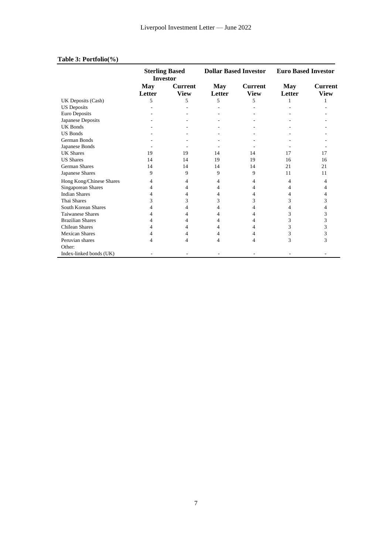|                          | <b>Sterling Based</b><br><b>Investor</b> |                | <b>Dollar Based Investor</b> |                | <b>Euro Based Investor</b> |                |
|--------------------------|------------------------------------------|----------------|------------------------------|----------------|----------------------------|----------------|
|                          | <b>May</b>                               | <b>Current</b> | <b>May</b>                   | <b>Current</b> | <b>May</b>                 | <b>Current</b> |
|                          | Letter                                   | <b>View</b>    | Letter                       | <b>View</b>    | Letter                     | <b>View</b>    |
| UK Deposits (Cash)       | 5                                        | 5              | 5                            | 5              |                            |                |
| <b>US</b> Deposits       |                                          |                |                              |                |                            |                |
| Euro Deposits            |                                          |                |                              |                |                            |                |
| Japanese Deposits        |                                          |                |                              |                |                            |                |
| UK Bonds                 |                                          |                |                              |                |                            |                |
| <b>US Bonds</b>          |                                          |                |                              |                |                            |                |
| German Bonds             |                                          |                |                              |                |                            |                |
| Japanese Bonds           |                                          |                |                              |                |                            |                |
| <b>UK Shares</b>         | 19                                       | 19             | 14                           | 14             | 17                         | 17             |
| <b>US Shares</b>         | 14                                       | 14             | 19                           | 19             | 16                         | 16             |
| German Shares            | 14                                       | 14             | 14                           | 14             | 21                         | 21             |
| Japanese Shares          | 9                                        | 9              | 9                            | 9              | 11                         | 11             |
| Hong Kong/Chinese Shares | 4                                        | 4              | 4                            | 4              | 4                          | 4              |
| Singaporean Shares       | 4                                        | 4              | 4                            | 4              | 4                          | 4              |
| <b>Indian Shares</b>     |                                          | 4              | 4                            | 4              |                            | 4              |
| Thai Shares              | 3                                        | 3              | 3                            | 3              | 3                          | 3              |
| South Korean Shares      |                                          | 4              | 4                            | 4              |                            | 4              |
| <b>Taiwanese Shares</b>  |                                          | 4              | 4                            | 4              | 3                          | 3              |
| <b>Brazilian Shares</b>  |                                          | 4              | 4                            | 4              | 3                          | 3              |
| <b>Chilean Shares</b>    |                                          | 4              | 4                            | 4              | 3                          | 3              |
| <b>Mexican Shares</b>    |                                          | 4              | 4                            | 4              | 3                          | 3              |
| Peruvian shares          |                                          | 4              | 4                            | 4              | 3                          | 3              |
| Other:                   |                                          |                |                              |                |                            |                |
| Index-linked bonds (UK)  |                                          |                |                              |                |                            |                |

### **Table 3: Portfolio(%)**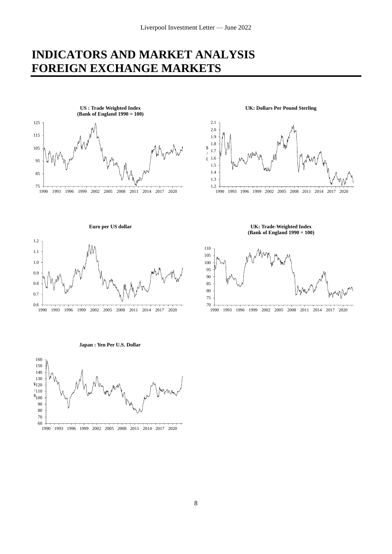### **INDICATORS AND MARKET ANALYSIS FOREIGN EXCHANGE MARKETS**



**UK: Dollars Per Pound Sterling**



**UK: Trade-Weighted Index (Bank of England 1990 = 100)**

1990 1993 1996 1999 2002 2005 2008 2011 2014 2017 2020

**Euro per US dollar**



**Japan : Yen Per U.S. Dollar**

60 70 80 90  $s_{100}$  .  $/110 -$ ¥120 -l 130 140 150 160

1990 1993 1996 1999 2002 2005 2008 2011 2014 2017 2020

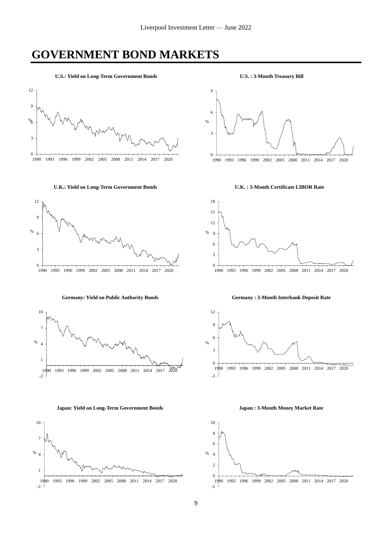### **GOVERNMENT BOND MARKETS**

**U.S.: Yield on Long-Term Government Bonds**



#### **U.K.: Yield on Long-Term Government Bonds**



**Germany: Yield on Public Authority Bonds**



**Japan: Yield on Long-Term Government Bonds**



**U.S. : 3-Month Treasury Bill**



**U.K. : 3-Month Certificate LIBOR Rate**



**Germany : 3-Month Interbank Deposit Rate**



**Japan : 3-Month Money Market Rate**

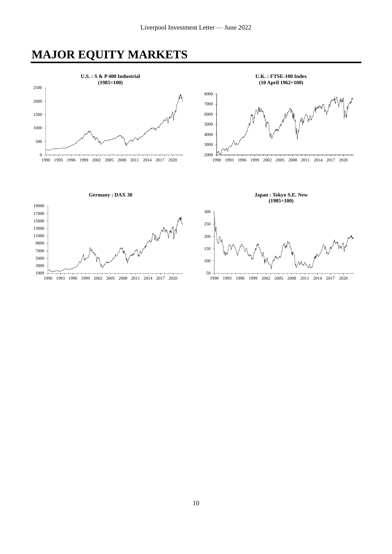### **MAJOR EQUITY MARKETS**

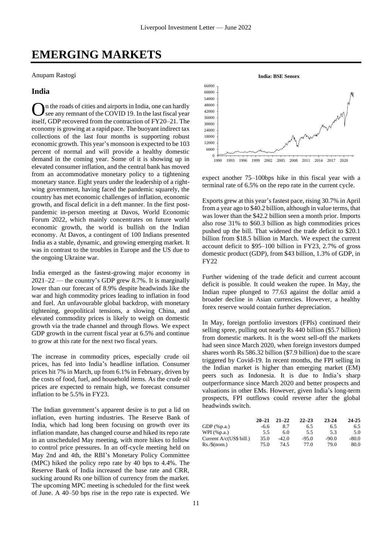### **EMERGING MARKETS**

Anupam Rastogi

### **India**

n the roads of cities and airports in India, one can hardly see any remnant of the COVID 19. In the last fiscal year itself, GDP recovered from the contraction of FY20–21. The economy is growing at a rapid pace. The buoyant indirect tax collections of the last four months is supporting robust economic growth. This year's monsoon is expected to be 103 percent of normal and will provide a healthy domestic demand in the coming year. Some of it is showing up in elevated consumer inflation, and the central bank has moved from an accommodative monetary policy to a tightening monetary stance. Eight years under the leadership of a rightwing government, having faced the pandemic squarely, the country has met economic challenges of inflation, economic growth, and fiscal deficit in a deft manner. In the first postpandemic in-person meeting at Davos, World Economic Forum 2022, which mainly concentrates on future world economic growth, the world is bullish on the Indian economy. At Davos, a contingent of 100 Indians presented India as a stable, dynamic, and growing emerging market. It was in contrast to the troubles in Europe and the US due to the ongoing Ukraine war. O

India emerged as the fastest-growing major economy in 2021–22 — the country's GDP grew 8.7%. It is marginally lower than our forecast of 8.9% despite headwinds like the war and high commodity prices leading to inflation in food and fuel. An unfavourable global backdrop, with monetary tightening, geopolitical tensions, a slowing China, and elevated commodity prices is likely to weigh on domestic growth via the trade channel and through flows. We expect GDP growth in the current fiscal year at 6.5% and continue to grow at this rate for the next two fiscal years.

The increase in commodity prices, especially crude oil prices, has fed into India's headline inflation. Consumer prices hit 7% in March, up from 6.1% in February, driven by the costs of food, fuel, and household items. As the crude oil prices are expected to remain high, we forecast consumer inflation to be 5.5% in FY23.

The Indian government's apparent desire is to put a lid on inflation, even hurting industries. The Reserve Bank of India, which had long been focusing on growth over its inflation mandate, has changed course and hiked its repo rate in an unscheduled May meeting, with more hikes to follow to control price pressures. In an off-cycle meeting held on May 2nd and 4th, the RBI's Monetary Policy Committee (MPC) hiked the policy repo rate by 40 bps to 4.4%. The Reserve Bank of India increased the base rate and CRR, sucking around Rs one billion of currency from the market. The upcoming MPC meeting is scheduled for the first week of June. A 40–50 bps rise in the repo rate is expected. We



expect another 75–100bps hike in this fiscal year with a terminal rate of 6.5% on the repo rate in the current cycle.

Exports grew at this year's fastest pace, rising 30.7% in April from a year ago to \$40.2 billion, although in value terms, that was lower than the \$42.2 billion seen a month prior. Imports also rose 31% to \$60.3 billion as high commodities prices pushed up the bill. That widened the trade deficit to \$20.1 billion from \$18.5 billion in March. We expect the current account deficit to \$95–100 billion in FY23, 2.7% of gross domestic product (GDP), from \$43 billion, 1.3% of GDP, in FY22

Further widening of the trade deficit and current account deficit is possible. It could weaken the rupee. In May, the Indian rupee plunged to 77.63 against the dollar amid a broader decline in Asian currencies. However, a healthy forex reserve would contain further depreciation.

In May, foreign portfolio investors (FPIs) continued their selling spree, pulling out nearly Rs 440 billion (\$5.7 billion) from domestic markets. It is the worst sell-off the markets had seen since March 2020, when foreign investors dumped shares worth Rs 586.32 billion (\$7.9 billion) due to the scare triggered by Covid-19. In recent months, the FPI selling in the Indian market is higher than emerging market (EM) peers such as Indonesia. It is due to India's sharp outperformance since March 2020 and better prospects and valuations in other EMs. However, given India's long-term prospects, FPI outflows could reverse after the global headwinds switch.

|                         | $20 - 21$ | $21 - 22$ | $22 - 23$ | 23-24   | 24-25   |
|-------------------------|-----------|-----------|-----------|---------|---------|
| GDP $(\%p.a.)$          | -6.6      | 8.7       | 6.5       | 6.5     | 6.5     |
| WPI $(\%p.a.)$          | 5.5       | 6.0       | 5.5       | 5.3     | 5.0     |
| Current A/c(US\$ bill.) | 35.0      | $-42.0$   | $-95.0$   | $-90.0$ | $-80.0$ |
| $Rs./\$ (nom.)          | 75.0      | 74.5      | 77.0      | 79.0    | 80.0    |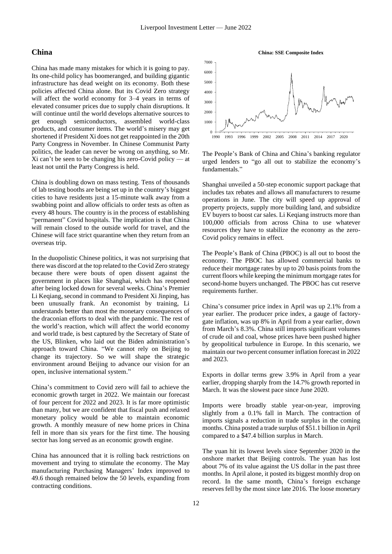### **China**

China has made many mistakes for which it is going to pay. Its one-child policy has boomeranged, and building gigantic infrastructure has dead weight on its economy. Both these policies affected China alone. But its Covid Zero strategy will affect the world economy for 3–4 years in terms of elevated consumer prices due to supply chain disruptions. It will continue until the world develops alternative sources to get enough semiconductors, assembled world-class products, and consumer items. The world's misery may get shortened if President Xi does not get reappointed in the 20th Party Congress in November. In Chinese Communist Party politics, the leader can never be wrong on anything, so Mr.  $Xi$  can't be seen to be changing his zero-Covid policy — at least not until the Party Congress is held.

China is doubling down on mass testing. Tens of thousands of lab testing booths are being set up in the country's biggest cities to have residents just a 15-minute walk away from a swabbing point and allow officials to order tests as often as every 48 hours. The country is in the process of establishing "permanent" Covid hospitals. The implication is that China will remain closed to the outside world for travel, and the Chinese will face strict quarantine when they return from an overseas trip.

In the duopolistic Chinese politics, it was not surprising that there was discord at the top related to the Covid Zero strategy because there were bouts of open dissent against the government in places like Shanghai, which has reopened after being locked down for several weeks. China's Premier Li Keqiang, second in command to President Xi Jinping, has been unusually frank. An economist by training, Li understands better than most the monetary consequences of the draconian efforts to deal with the pandemic. The rest of the world's reaction, which will affect the world economy and world trade, is best captured by the Secretary of State of the US, Blinken, who laid out the Biden administration's approach toward China. "We cannot rely on Beijing to change its trajectory. So we will shape the strategic environment around Beijing to advance our vision for an open, inclusive international system."

China's commitment to Covid zero will fail to achieve the economic growth target in 2022. We maintain our forecast of four percent for 2022 and 2023. It is far more optimistic than many, but we are confident that fiscal push and relaxed monetary policy would be able to maintain economic growth. A monthly measure of new home prices in China fell in more than six years for the first time. The housing sector has long served as an economic growth engine.

China has announced that it is rolling back restrictions on movement and trying to stimulate the economy. The May manufacturing Purchasing Managers' Index improved to 49.6 though remained below the 50 levels, expanding from contracting conditions.



The People's Bank of China and China's banking regulator urged lenders to "go all out to stabilize the economy's fundamentals."

Shanghai unveiled a 50-step economic support package that includes tax rebates and allows all manufacturers to resume operations in June. The city will speed up approval of property projects, supply more building land, and subsidize EV buyers to boost car sales. Li Keqiang instructs more than 100,000 officials from across China to use whatever resources they have to stabilize the economy as the zero-Covid policy remains in effect.

The People's Bank of China (PBOC) is all out to boost the economy. The PBOC has allowed commercial banks to reduce their mortgage rates by up to 20 basis points from the current floors while keeping the minimum mortgage rates for second-home buyers unchanged. The PBOC has cut reserve requirements further.

China's consumer price index in April was up 2.1% from a year earlier. The producer price index, a gauge of factorygate inflation, was up 8% in April from a year earlier, down from March's 8.3%. China still imports significant volumes of crude oil and coal, whose prices have been pushed higher by geopolitical turbulence in Europe. In this scenario, we maintain our two percent consumer inflation forecast in 2022 and 2023.

Exports in dollar terms grew 3.9% in April from a year earlier, dropping sharply from the 14.7% growth reported in March. It was the slowest pace since June 2020.

Imports were broadly stable year-on-year, improving slightly from a 0.1% fall in March. The contraction of imports signals a reduction in trade surplus in the coming months. China posted a trade surplus of \$51.1 billion in April compared to a \$47.4 billion surplus in March.

The yuan hit its lowest levels since September 2020 in the onshore market that Beijing controls. The yuan has lost about 7% of its value against the US dollar in the past three months. In April alone, it posted its biggest monthly drop on record. In the same month, China's foreign exchange reserves fell by the most since late 2016. The loose monetary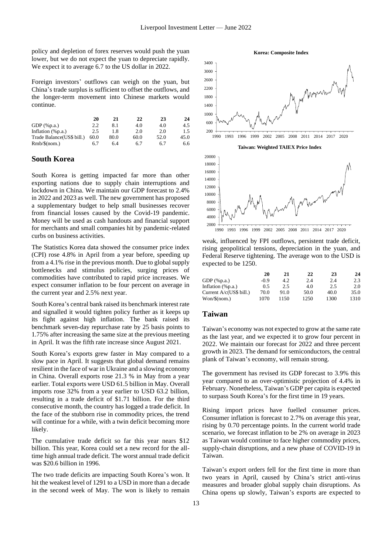policy and depletion of forex reserves would push the yuan lower, but we do not expect the yuan to depreciate rapidly. We expect it to average 6.7 to the US dollar in 2022.

Foreign investors' outflows can weigh on the yuan, but China's trade surplus is sufficient to offset the outflows, and the longer-term movement into Chinese markets would continue.

|                            | 20   | 21   | 22   | 23   | 24   |
|----------------------------|------|------|------|------|------|
| GDP $(\%p.a.)$             | 2.2  | 8.1  | 4.0  | 4.0  | 4.5  |
| Inflation $(\%p.a.)$       | 2.5  | 1.8  | 2.0  | 2.0  | 1.5  |
| Trade Balance (US\$ bill.) | 60.0 | 80.0 | 60.0 | 52.0 | 45.0 |
| $Rmb/\$(nom.)$             | 6.7  | 64   | 6.7  | 6.7  | 6.6  |

#### **South Korea**

South Korea is getting impacted far more than other exporting nations due to supply chain interruptions and lockdown in China. We maintain our GDP forecast to 2.4% in 2022 and 2023 as well. The new government has proposed a supplementary budget to help small businesses recover from financial losses caused by the Covid-19 pandemic. Money will be used as cash handouts and financial support for merchants and small companies hit by pandemic-related curbs on business activities.

The Statistics Korea data showed the consumer price index (CPI) rose 4.8% in April from a year before, speeding up from a 4.1% rise in the previous month. Due to global supply bottlenecks and stimulus policies, surging prices of commodities have contributed to rapid price increases. We expect consumer inflation to be four percent on average in the current year and 2.5% next year.

South Korea's central bank raised its benchmark interest rate and signalled it would tighten policy further as it keeps up its fight against high inflation. The bank raised its benchmark seven-day repurchase rate by 25 basis points to 1.75% after increasing the same size at the previous meeting in April. It was the fifth rate increase since August 2021.

South Korea's exports grew faster in May compared to a slow pace in April. It suggests that global demand remains resilient in the face of war in Ukraine and a slowing economy in China. Overall exports rose 21.3 % in May from a year earlier. Total exports were USD 61.5 billion in May. Overall imports rose 32% from a year earlier to USD 63.2 billion, resulting in a trade deficit of \$1.71 billion. For the third consecutive month, the country has logged a trade deficit. In the face of the stubborn rise in commodity prices, the trend will continue for a while, with a twin deficit becoming more likely.

The cumulative trade deficit so far this year nears \$12 billion. This year, Korea could set a new record for the alltime high annual trade deficit. The worst annual trade deficit was \$20.6 billion in 1996.

The two trade deficits are impacting South Korea's won. It hit the weakest level of 1291 to a USD in more than a decade in the second week of May. The won is likely to remain



weak, influenced by FPI outflows, persistent trade deficit, rising geopolitical tensions, depreciation in the yuan, and Federal Reserve tightening. The average won to the USD is expected to be 1250.

|                         | 20   | 21   | 22   | 23   | 24   |
|-------------------------|------|------|------|------|------|
| $GDP$ (%p.a.)           | -0.9 | 4.2  | 2.4  | 2.4  | 2.3  |
| Inflation $(\%p.a.)$    | 0.5  | 2.5  | 4.0  | 2.5  | 2.0  |
| Current A/c(US\$ bill.) | 70.0 | 91.0 | 50.0 | 40.0 | 35.0 |
| Won/S(nom.)             | 1070 | 1150 | 1250 | 1300 | 1310 |

#### **Taiwan**

Taiwan's economy was not expected to grow at the same rate as the last year, and we expected it to grow four percent in 2022. We maintain our forecast for 2022 and three percent growth in 2023. The demand for semiconductors, the central plank of Taiwan's economy, will remain strong.

The government has revised its GDP forecast to 3.9% this year compared to an over-optimistic projection of 4.4% in February. Nonetheless, Taiwan's GDP per capita is expected to surpass South Korea's for the first time in 19 years.

Rising import prices have fuelled consumer prices. Consumer inflation is forecast to 2.7% on average this year, rising by 0.70 percentage points. In the current world trade scenario, we forecast inflation to be 2% on average in 2023 as Taiwan would continue to face higher commodity prices, supply-chain disruptions, and a new phase of COVID-19 in Taiwan.

Taiwan's export orders fell for the first time in more than two years in April, caused by China's strict anti-virus measures and broader global supply chain disruptions. As China opens up slowly, Taiwan's exports are expected to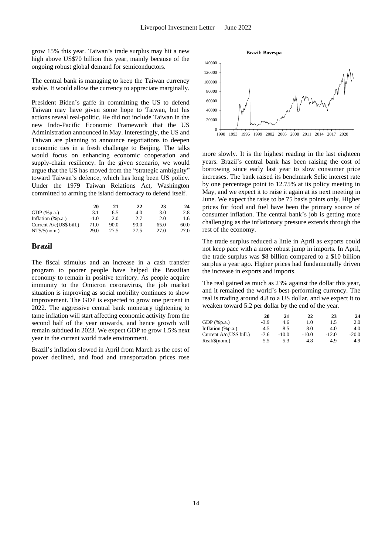grow 15% this year. Taiwan's trade surplus may hit a new high above US\$70 billion this year, mainly because of the ongoing robust global demand for semiconductors.

The central bank is managing to keep the Taiwan currency stable. It would allow the currency to appreciate marginally.

President Biden's gaffe in committing the US to defend Taiwan may have given some hope to Taiwan, but his actions reveal real-politic. He did not include Taiwan in the new Indo-Pacific Economic Framework that the US Administration announced in May. Interestingly, the US and Taiwan are planning to announce negotiations to deepen economic ties in a fresh challenge to Beijing. The talks would focus on enhancing economic cooperation and supply-chain resiliency. In the given scenario, we would argue that the US has moved from the "strategic ambiguity" toward Taiwan's defence, which has long been US policy. Under the 1979 Taiwan Relations Act, Washington committed to arming the island democracy to defend itself.

|                         | 20     | 21   | 22   | 23   | 24   |
|-------------------------|--------|------|------|------|------|
| GDP $(\%p.a.)$          | 3.1    | 6.5  | 4.0  | 3.0  | 2.8  |
| Inflation $(\%p.a.)$    | $-1.0$ | 2.0  | 2.7  | 2.0  | 1.6  |
| Current A/c(US\$ bill.) | 71.0   | 90.0 | 90.0 | 65.0 | 60.0 |
| NT\$/\$(nom.)           | 29.0   | 27.5 | 27.5 | 27.0 | 27.0 |

#### **Brazil**

The fiscal stimulus and an increase in a cash transfer program to poorer people have helped the Brazilian economy to remain in positive territory. As people acquire immunity to the Omicron coronavirus, the job market situation is improving as social mobility continues to show improvement. The GDP is expected to grow one percent in 2022. The aggressive central bank monetary tightening to tame inflation will start affecting economic activity from the second half of the year onwards, and hence growth will remain subdued in 2023. We expect GDP to grow 1.5% next year in the current world trade environment.

Brazil's inflation slowed in April from March as the cost of power declined, and food and transportation prices rose



more slowly. It is the highest reading in the last eighteen years. Brazil's central bank has been raising the cost of borrowing since early last year to slow consumer price increases. The bank raised its benchmark Selic interest rate by one percentage point to 12.75% at its policy meeting in May, and we expect it to raise it again at its next meeting in June. We expect the raise to be 75 basis points only. Higher prices for food and fuel have been the primary source of consumer inflation. The central bank's job is getting more challenging as the inflationary pressure extends through the rest of the economy.

The trade surplus reduced a little in April as exports could not keep pace with a more robust jump in imports. In April, the trade surplus was \$8 billion compared to a \$10 billion surplus a year ago. Higher prices had fundamentally driven the increase in exports and imports.

The real gained as much as 23% against the dollar this year, and it remained the world's best-performing currency. The real is trading around 4.8 to a US dollar, and we expect it to weaken toward 5.2 per dollar by the end of the year.

|                         | 20     | 21      | 22      | 23      | 24      |
|-------------------------|--------|---------|---------|---------|---------|
| GDP $(\%p.a.)$          | $-3.9$ | 4.6     | 1.0     | 1.5     | 2.0     |
| Inflation (%p.a.)       | 4.5    | 8.5     | 8.0     | 4.0     | 4.0     |
| Current A/c(US\$ bill.) | $-7.6$ | $-10.0$ | $-10.0$ | $-12.0$ | $-20.0$ |
| Real/\$(nom.)           | 5.5    | 5.3     | 4.8     | 4.9     | 4.9     |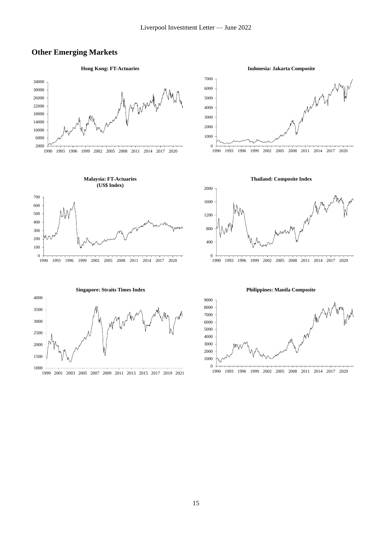### **Other Emerging Markets**



**Indonesia: Jakarta Composite**

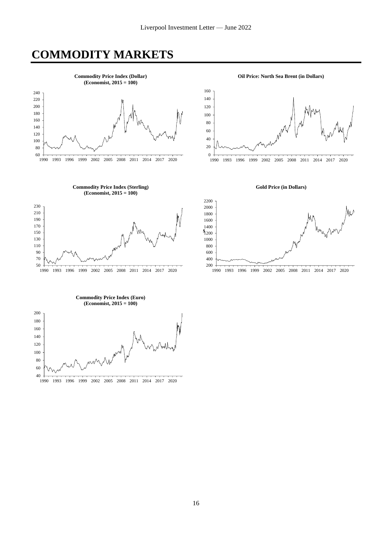### **COMMODITY MARKETS**



1993 1996 1999 2002 2005 2008 2011 2014 2017 2020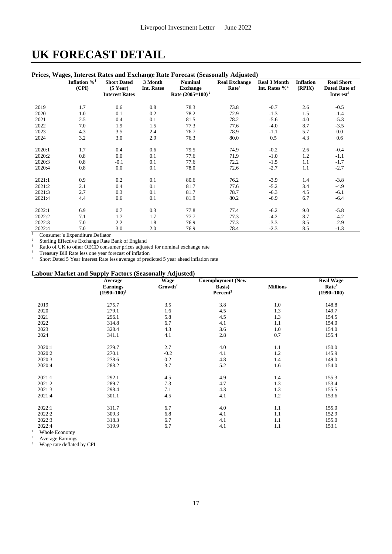### **UK FORECAST DETAIL**

#### **Prices, Wages, Interest Rates and Exchange Rate Forecast (Seasonally Adjusted)**

|        |                         |                       |            | I Hes, Wages, Interest Kates and Exchange Kate Porceast (Seasonally Aujusteu) |                      |                     |                  |                       |
|--------|-------------------------|-----------------------|------------|-------------------------------------------------------------------------------|----------------------|---------------------|------------------|-----------------------|
|        | Inflation $\frac{6}{1}$ | <b>Short Dated</b>    | 3 Month    | <b>Nominal</b>                                                                | <b>Real Exchange</b> | <b>Real 3 Month</b> | <b>Inflation</b> | <b>Real Short</b>     |
|        | (CPI)                   | $(5$ Year)            | Int. Rates | <b>Exchange</b>                                                               | Rate <sup>3</sup>    | Int. Rates $\%^4$   | (RPIX)           | <b>Dated Rate of</b>  |
|        |                         | <b>Interest Rates</b> |            | Rate $(2005=100)^2$                                                           |                      |                     |                  | Interest <sup>5</sup> |
|        |                         |                       |            |                                                                               |                      |                     |                  |                       |
| 2019   | 1.7                     | 0.6                   | 0.8        | 78.3                                                                          | 73.8                 | $-0.7$              | 2.6              | $-0.5$                |
| 2020   | 1.0                     | 0.1                   | 0.2        | 78.2                                                                          | 72.9                 | $-1.3$              | 1.5              | $-1.4$                |
| 2021   | 2.5                     | 0.4                   | 0.1        | 81.5                                                                          | 78.2                 | $-5.6$              | 4.0              | $-5.3$                |
| 2022   | 7.0                     | 1.9                   | 1.5        | 77.3                                                                          | 77.6                 | $-4.0$              | 8.7              | $-3.5$                |
| 2023   | 4.3                     | 3.5                   | 2.4        | 76.7                                                                          | 78.9                 | $-1.1$              | 5.7              | $0.0\,$               |
| 2024   | 3.2                     | 3.0                   | 2.9        | 76.3                                                                          | 80.0                 | 0.5                 | 4.3              | 0.6                   |
|        |                         |                       |            |                                                                               |                      |                     |                  |                       |
| 2020:1 | 1.7                     | 0.4                   | 0.6        | 79.5                                                                          | 74.9                 | $-0.2$              | 2.6              | $-0.4$                |
| 2020:2 | 0.8                     | 0.0                   | 0.1        | 77.6                                                                          | 71.9                 | $-1.0$              | 1.2              | $-1.1$                |
| 2020:3 | 0.8                     | $-0.1$                | 0.1        | 77.6                                                                          | 72.2                 | $-1.5$              | 1.1              | $-1.7$                |
| 2020:4 | 0.8                     | 0.0                   | 0.1        | 78.0                                                                          | 72.6                 | $-2.7$              | 1.1              | $-2.7$                |
|        |                         |                       |            |                                                                               |                      |                     |                  |                       |
| 2021:1 | 0.9                     | 0.2                   | 0.1        | 80.6                                                                          | 76.2                 | $-3.9$              | 1.4              | $-3.8$                |
| 2021:2 | 2.1                     | 0.4                   | 0.1        | 81.7                                                                          | 77.6                 | $-5.2$              | 3.4              | $-4.9$                |
| 2021:3 | 2.7                     | 0.3                   | 0.1        | 81.7                                                                          | 78.7                 | $-6.3$              | 4.5              | $-6.1$                |
| 2021:4 | 4.4                     | 0.6                   | 0.1        | 81.9                                                                          | 80.2                 | $-6.9$              | 6.7              | $-6.4$                |
|        |                         |                       |            |                                                                               |                      |                     |                  |                       |
| 2022:1 | 6.9                     | 0.7                   | 0.3        | 77.8                                                                          | 77.4                 | $-6.2$              | 9.0              | $-5.8$                |
| 2022:2 | 7.1                     | 1.7                   | 1.7        | 77.7                                                                          | 77.3                 | $-4.2$              | 8.7              | $-4.2$                |
| 2022:3 | 7.0                     | 2.2                   | 1.8        | 76.9                                                                          | 77.3                 | $-3.3$              | 8.5              | $-2.9$                |
| 2022:4 | 7.0                     | 3.0                   | 2.0        | 76.9                                                                          | 78.4                 | $-2.3$              | 8.5              | $-1.3$                |

<sup>1</sup> Consumer's Expenditure Deflator

 $2^2$  Sterling Effective Exchange Rate Bank of England

 $\frac{3}{4}$  Ratio of UK to other OECD consumer prices adjusted for nominal exchange rate

<sup>4</sup> Treasury Bill Rate less one year forecast of inflation<br>
<sup>5</sup> Short Dated 5 Year Interest Rate less average of prec

<sup>5</sup> Short Dated 5 Year Interest Rate less average of predicted 5 year ahead inflation rate

#### **Labour Market and Supply Factors (Seasonally Adjusted)**

|        | Average         | $=$ $\frac{1}{2}$ $\frac{1}{2}$ $\frac{1}{2}$ $\frac{1}{2}$ $\frac{1}{2}$ $\frac{1}{2}$ $\frac{1}{2}$ $\frac{1}{2}$ $\frac{1}{2}$ $\frac{1}{2}$ $\frac{1}{2}$ $\frac{1}{2}$ $\frac{1}{2}$ $\frac{1}{2}$ $\frac{1}{2}$ $\frac{1}{2}$ $\frac{1}{2}$ $\frac{1}{2}$ $\frac{1}{2}$ $\frac{1}{2}$ $\frac{1}{2}$ $\frac{1}{2$<br><b>Wage</b> | <b>Unemployment</b> (New |                 | <b>Real Wage</b>  |
|--------|-----------------|---------------------------------------------------------------------------------------------------------------------------------------------------------------------------------------------------------------------------------------------------------------------------------------------------------------------------------------|--------------------------|-----------------|-------------------|
|        | <b>Earnings</b> | Growth <sup>2</sup>                                                                                                                                                                                                                                                                                                                   | Basis)                   | <b>Millions</b> | Rate <sup>4</sup> |
|        | $(1990=100)^1$  |                                                                                                                                                                                                                                                                                                                                       | Percent <sup>3</sup>     |                 | $(1990=100)$      |
| 2019   | 275.7           | 3.5                                                                                                                                                                                                                                                                                                                                   | 3.8                      | 1.0             | 148.8             |
| 2020   | 279.1           | 1.6                                                                                                                                                                                                                                                                                                                                   | 4.5                      | 1.3             | 149.7             |
| 2021   | 296.1           | 5.8                                                                                                                                                                                                                                                                                                                                   | 4.5                      | 1.3             | 154.5             |
| 2022   | 314.8           | 6.7                                                                                                                                                                                                                                                                                                                                   | 4.1                      | 1.1             | 154.0             |
| 2023   | 328.4           | 4.3                                                                                                                                                                                                                                                                                                                                   | 3.6                      | 1.0             | 154.0             |
| 2024   | 341.1           | 4.1                                                                                                                                                                                                                                                                                                                                   | 2.8                      | 0.7             | 155.4             |
| 2020:1 | 279.7           | 2.7                                                                                                                                                                                                                                                                                                                                   | 4.0                      | 1.1             | 150.0             |
| 2020:2 | 270.1           | $-0.2$                                                                                                                                                                                                                                                                                                                                | 4.1                      | 1.2             | 145.9             |
| 2020:3 | 278.6           | 0.2                                                                                                                                                                                                                                                                                                                                   | 4.8                      | 1.4             | 149.0             |
| 2020:4 | 288.2           | 3.7                                                                                                                                                                                                                                                                                                                                   | 5.2                      | 1.6             | 154.0             |
| 2021:1 | 292.1           | 4.5                                                                                                                                                                                                                                                                                                                                   | 4.9                      | 1.4             | 155.3             |
| 2021:2 | 289.7           | 7.3                                                                                                                                                                                                                                                                                                                                   | 4.7                      | 1.3             | 153.4             |
| 2021:3 | 298.4           | 7.1                                                                                                                                                                                                                                                                                                                                   | 4.3                      | 1.3             | 155.5             |
| 2021:4 | 301.1           | 4.5                                                                                                                                                                                                                                                                                                                                   | 4.1                      | 1.2             | 153.6             |
| 2022:1 | 311.7           | 6.7                                                                                                                                                                                                                                                                                                                                   | 4.0                      | 1.1             | 155.0             |
| 2022:2 | 309.3           | 6.8                                                                                                                                                                                                                                                                                                                                   | 4.1                      | 1.1             | 152.9             |
| 2022:3 | 318.3           | 6.7                                                                                                                                                                                                                                                                                                                                   | 4.1                      | 1.1             | 155.0             |
| 2022:4 | 319.9           | 6.7                                                                                                                                                                                                                                                                                                                                   | 4.1                      | 1.1             | 153.1             |

 $\frac{1}{2}$  Whole Economy

<sup>2</sup> Average Earnings<br><sup>3</sup> Wage rate deflated

Wage rate deflated by CPI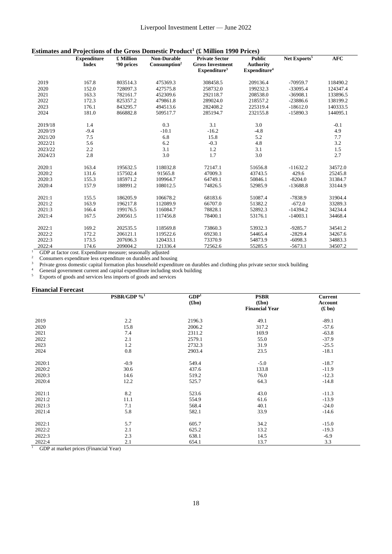| Estimates and Projections of the Gross Domestic Product <sup>1</sup> (£ Million 1990 Prices) |  |  |  |  |  |  |
|----------------------------------------------------------------------------------------------|--|--|--|--|--|--|
|----------------------------------------------------------------------------------------------|--|--|--|--|--|--|

| '90 prices<br>$Consumption2$<br><b>Index</b><br><b>Gross Investment</b><br><b>Authority</b><br>Expenditure <sup>4</sup><br>Expenditur <sup>3</sup><br>2019<br>167.8<br>803514.3<br>475369.3<br>308458.5<br>209136.4<br>$-70959.7$<br>118490.2<br>2020<br>152.0<br>728097.3<br>427575.8<br>258732.0<br>199232.3<br>$-33095.4$<br>124347.4<br>2021<br>163.3<br>782161.7<br>452309.6<br>292118.7<br>208538.0<br>$-36908.1$<br>133896.5<br>2022<br>172.3<br>825357.2<br>479861.8<br>289024.0<br>218557.2<br>$-23886.6$<br>138199.2<br>2023<br>176.1<br>225319.4<br>$-18612.0$<br>843295.7<br>494513.6<br>282408.2<br>140333.5<br>2024<br>181.0<br>144095.1<br>866882.8<br>509517.7<br>285194.7<br>232155.8<br>$-15890.3$<br>3.1<br>3.0<br>2019/18<br>0.3<br>1.4<br>$-0.1$<br>$-10.1$<br>$-16.2$<br>$-4.8$<br>4.9<br>2020/19<br>$-9.4$<br>6.8<br>15.8<br>5.2<br>7.7<br>2021/20<br>7.5<br>5.6<br>4.8<br>3.2<br>2022/21<br>6.2<br>$-0.3$<br>2023/22<br>2.2<br>3.1<br>3.1<br>1.5<br>1.2<br>3.0<br>2.8<br>3.0<br>1.7<br>2.7<br>2024/23<br>163.4<br>118032.8<br>34572.0<br>2020:1<br>195632.5<br>72147.1<br>51656.8<br>$-11632.2$<br>2020:2<br>131.6<br>157502.4<br>91565.8<br>47009.3<br>43743.5<br>429.6<br>25245.8<br>2020:3<br>155.3<br>$-8204.0$<br>31384.7<br>185971.2<br>109964.7<br>64749.1<br>50846.1<br>108012.5<br>33144.9<br>2020:4<br>157.9<br>188991.2<br>74826.5<br>52985.9<br>$-13688.8$<br>2021:1<br>106678.2<br>68183.6<br>51087.4<br>31904.4<br>155.5<br>186205.9<br>$-7838.9$<br>2021:2<br>163.9<br>196217.8<br>112089.9<br>66707.0<br>51382.2<br>$-672.0$<br>33289.3<br>2021:3<br>166.4<br>199176.5<br>116084.7<br>78828.1<br>$-14394.2$<br>34234.4<br>52892.3<br>2021:4<br>167.5<br>78400.1<br>34468.4<br>200561.5<br>117456.8<br>53176.1<br>$-14003.1$<br>2022:1<br>73860.3<br>53932.3<br>34541.2<br>169.2<br>202535.5<br>118569.8<br>$-9285.7$<br>2022:2<br>172.2<br>206121.1<br>119522.6<br>69230.1<br>54465.4<br>$-2829.4$<br>34267.6<br>2022:3<br>173.5<br>120433.1<br>34883.3<br>207696.3<br>73370.9<br>54873.9<br>$-6098.3$<br>2022:4<br>174.6<br>121336.4<br>209004.2<br>72562.6<br>55285.5<br>$-5673.1$<br>34507.2 | <b>Expenditure</b> | £ Million | <b>Non-Durable</b> | <b>Private Sector</b> | <b>Public</b> | Net Exports <sup>5</sup> | <b>AFC</b> |
|-----------------------------------------------------------------------------------------------------------------------------------------------------------------------------------------------------------------------------------------------------------------------------------------------------------------------------------------------------------------------------------------------------------------------------------------------------------------------------------------------------------------------------------------------------------------------------------------------------------------------------------------------------------------------------------------------------------------------------------------------------------------------------------------------------------------------------------------------------------------------------------------------------------------------------------------------------------------------------------------------------------------------------------------------------------------------------------------------------------------------------------------------------------------------------------------------------------------------------------------------------------------------------------------------------------------------------------------------------------------------------------------------------------------------------------------------------------------------------------------------------------------------------------------------------------------------------------------------------------------------------------------------------------------------------------------------------------------------------------------------------------------------------------------------------------------------------------------------------------------------------------------------------------------------------------------------------------------------------------------------------------------------------------------------------------------------------------------------------------------------------------------|--------------------|-----------|--------------------|-----------------------|---------------|--------------------------|------------|
|                                                                                                                                                                                                                                                                                                                                                                                                                                                                                                                                                                                                                                                                                                                                                                                                                                                                                                                                                                                                                                                                                                                                                                                                                                                                                                                                                                                                                                                                                                                                                                                                                                                                                                                                                                                                                                                                                                                                                                                                                                                                                                                                         |                    |           |                    |                       |               |                          |            |
|                                                                                                                                                                                                                                                                                                                                                                                                                                                                                                                                                                                                                                                                                                                                                                                                                                                                                                                                                                                                                                                                                                                                                                                                                                                                                                                                                                                                                                                                                                                                                                                                                                                                                                                                                                                                                                                                                                                                                                                                                                                                                                                                         |                    |           |                    |                       |               |                          |            |
|                                                                                                                                                                                                                                                                                                                                                                                                                                                                                                                                                                                                                                                                                                                                                                                                                                                                                                                                                                                                                                                                                                                                                                                                                                                                                                                                                                                                                                                                                                                                                                                                                                                                                                                                                                                                                                                                                                                                                                                                                                                                                                                                         |                    |           |                    |                       |               |                          |            |
|                                                                                                                                                                                                                                                                                                                                                                                                                                                                                                                                                                                                                                                                                                                                                                                                                                                                                                                                                                                                                                                                                                                                                                                                                                                                                                                                                                                                                                                                                                                                                                                                                                                                                                                                                                                                                                                                                                                                                                                                                                                                                                                                         |                    |           |                    |                       |               |                          |            |
|                                                                                                                                                                                                                                                                                                                                                                                                                                                                                                                                                                                                                                                                                                                                                                                                                                                                                                                                                                                                                                                                                                                                                                                                                                                                                                                                                                                                                                                                                                                                                                                                                                                                                                                                                                                                                                                                                                                                                                                                                                                                                                                                         |                    |           |                    |                       |               |                          |            |
|                                                                                                                                                                                                                                                                                                                                                                                                                                                                                                                                                                                                                                                                                                                                                                                                                                                                                                                                                                                                                                                                                                                                                                                                                                                                                                                                                                                                                                                                                                                                                                                                                                                                                                                                                                                                                                                                                                                                                                                                                                                                                                                                         |                    |           |                    |                       |               |                          |            |
|                                                                                                                                                                                                                                                                                                                                                                                                                                                                                                                                                                                                                                                                                                                                                                                                                                                                                                                                                                                                                                                                                                                                                                                                                                                                                                                                                                                                                                                                                                                                                                                                                                                                                                                                                                                                                                                                                                                                                                                                                                                                                                                                         |                    |           |                    |                       |               |                          |            |
|                                                                                                                                                                                                                                                                                                                                                                                                                                                                                                                                                                                                                                                                                                                                                                                                                                                                                                                                                                                                                                                                                                                                                                                                                                                                                                                                                                                                                                                                                                                                                                                                                                                                                                                                                                                                                                                                                                                                                                                                                                                                                                                                         |                    |           |                    |                       |               |                          |            |
|                                                                                                                                                                                                                                                                                                                                                                                                                                                                                                                                                                                                                                                                                                                                                                                                                                                                                                                                                                                                                                                                                                                                                                                                                                                                                                                                                                                                                                                                                                                                                                                                                                                                                                                                                                                                                                                                                                                                                                                                                                                                                                                                         |                    |           |                    |                       |               |                          |            |
|                                                                                                                                                                                                                                                                                                                                                                                                                                                                                                                                                                                                                                                                                                                                                                                                                                                                                                                                                                                                                                                                                                                                                                                                                                                                                                                                                                                                                                                                                                                                                                                                                                                                                                                                                                                                                                                                                                                                                                                                                                                                                                                                         |                    |           |                    |                       |               |                          |            |
|                                                                                                                                                                                                                                                                                                                                                                                                                                                                                                                                                                                                                                                                                                                                                                                                                                                                                                                                                                                                                                                                                                                                                                                                                                                                                                                                                                                                                                                                                                                                                                                                                                                                                                                                                                                                                                                                                                                                                                                                                                                                                                                                         |                    |           |                    |                       |               |                          |            |
|                                                                                                                                                                                                                                                                                                                                                                                                                                                                                                                                                                                                                                                                                                                                                                                                                                                                                                                                                                                                                                                                                                                                                                                                                                                                                                                                                                                                                                                                                                                                                                                                                                                                                                                                                                                                                                                                                                                                                                                                                                                                                                                                         |                    |           |                    |                       |               |                          |            |
|                                                                                                                                                                                                                                                                                                                                                                                                                                                                                                                                                                                                                                                                                                                                                                                                                                                                                                                                                                                                                                                                                                                                                                                                                                                                                                                                                                                                                                                                                                                                                                                                                                                                                                                                                                                                                                                                                                                                                                                                                                                                                                                                         |                    |           |                    |                       |               |                          |            |
|                                                                                                                                                                                                                                                                                                                                                                                                                                                                                                                                                                                                                                                                                                                                                                                                                                                                                                                                                                                                                                                                                                                                                                                                                                                                                                                                                                                                                                                                                                                                                                                                                                                                                                                                                                                                                                                                                                                                                                                                                                                                                                                                         |                    |           |                    |                       |               |                          |            |
|                                                                                                                                                                                                                                                                                                                                                                                                                                                                                                                                                                                                                                                                                                                                                                                                                                                                                                                                                                                                                                                                                                                                                                                                                                                                                                                                                                                                                                                                                                                                                                                                                                                                                                                                                                                                                                                                                                                                                                                                                                                                                                                                         |                    |           |                    |                       |               |                          |            |
|                                                                                                                                                                                                                                                                                                                                                                                                                                                                                                                                                                                                                                                                                                                                                                                                                                                                                                                                                                                                                                                                                                                                                                                                                                                                                                                                                                                                                                                                                                                                                                                                                                                                                                                                                                                                                                                                                                                                                                                                                                                                                                                                         |                    |           |                    |                       |               |                          |            |
|                                                                                                                                                                                                                                                                                                                                                                                                                                                                                                                                                                                                                                                                                                                                                                                                                                                                                                                                                                                                                                                                                                                                                                                                                                                                                                                                                                                                                                                                                                                                                                                                                                                                                                                                                                                                                                                                                                                                                                                                                                                                                                                                         |                    |           |                    |                       |               |                          |            |
|                                                                                                                                                                                                                                                                                                                                                                                                                                                                                                                                                                                                                                                                                                                                                                                                                                                                                                                                                                                                                                                                                                                                                                                                                                                                                                                                                                                                                                                                                                                                                                                                                                                                                                                                                                                                                                                                                                                                                                                                                                                                                                                                         |                    |           |                    |                       |               |                          |            |
|                                                                                                                                                                                                                                                                                                                                                                                                                                                                                                                                                                                                                                                                                                                                                                                                                                                                                                                                                                                                                                                                                                                                                                                                                                                                                                                                                                                                                                                                                                                                                                                                                                                                                                                                                                                                                                                                                                                                                                                                                                                                                                                                         |                    |           |                    |                       |               |                          |            |
|                                                                                                                                                                                                                                                                                                                                                                                                                                                                                                                                                                                                                                                                                                                                                                                                                                                                                                                                                                                                                                                                                                                                                                                                                                                                                                                                                                                                                                                                                                                                                                                                                                                                                                                                                                                                                                                                                                                                                                                                                                                                                                                                         |                    |           |                    |                       |               |                          |            |
|                                                                                                                                                                                                                                                                                                                                                                                                                                                                                                                                                                                                                                                                                                                                                                                                                                                                                                                                                                                                                                                                                                                                                                                                                                                                                                                                                                                                                                                                                                                                                                                                                                                                                                                                                                                                                                                                                                                                                                                                                                                                                                                                         |                    |           |                    |                       |               |                          |            |
|                                                                                                                                                                                                                                                                                                                                                                                                                                                                                                                                                                                                                                                                                                                                                                                                                                                                                                                                                                                                                                                                                                                                                                                                                                                                                                                                                                                                                                                                                                                                                                                                                                                                                                                                                                                                                                                                                                                                                                                                                                                                                                                                         |                    |           |                    |                       |               |                          |            |
|                                                                                                                                                                                                                                                                                                                                                                                                                                                                                                                                                                                                                                                                                                                                                                                                                                                                                                                                                                                                                                                                                                                                                                                                                                                                                                                                                                                                                                                                                                                                                                                                                                                                                                                                                                                                                                                                                                                                                                                                                                                                                                                                         |                    |           |                    |                       |               |                          |            |
|                                                                                                                                                                                                                                                                                                                                                                                                                                                                                                                                                                                                                                                                                                                                                                                                                                                                                                                                                                                                                                                                                                                                                                                                                                                                                                                                                                                                                                                                                                                                                                                                                                                                                                                                                                                                                                                                                                                                                                                                                                                                                                                                         |                    |           |                    |                       |               |                          |            |
|                                                                                                                                                                                                                                                                                                                                                                                                                                                                                                                                                                                                                                                                                                                                                                                                                                                                                                                                                                                                                                                                                                                                                                                                                                                                                                                                                                                                                                                                                                                                                                                                                                                                                                                                                                                                                                                                                                                                                                                                                                                                                                                                         |                    |           |                    |                       |               |                          |            |
|                                                                                                                                                                                                                                                                                                                                                                                                                                                                                                                                                                                                                                                                                                                                                                                                                                                                                                                                                                                                                                                                                                                                                                                                                                                                                                                                                                                                                                                                                                                                                                                                                                                                                                                                                                                                                                                                                                                                                                                                                                                                                                                                         |                    |           |                    |                       |               |                          |            |
|                                                                                                                                                                                                                                                                                                                                                                                                                                                                                                                                                                                                                                                                                                                                                                                                                                                                                                                                                                                                                                                                                                                                                                                                                                                                                                                                                                                                                                                                                                                                                                                                                                                                                                                                                                                                                                                                                                                                                                                                                                                                                                                                         |                    |           |                    |                       |               |                          |            |
|                                                                                                                                                                                                                                                                                                                                                                                                                                                                                                                                                                                                                                                                                                                                                                                                                                                                                                                                                                                                                                                                                                                                                                                                                                                                                                                                                                                                                                                                                                                                                                                                                                                                                                                                                                                                                                                                                                                                                                                                                                                                                                                                         |                    |           |                    |                       |               |                          |            |
|                                                                                                                                                                                                                                                                                                                                                                                                                                                                                                                                                                                                                                                                                                                                                                                                                                                                                                                                                                                                                                                                                                                                                                                                                                                                                                                                                                                                                                                                                                                                                                                                                                                                                                                                                                                                                                                                                                                                                                                                                                                                                                                                         |                    |           |                    |                       |               |                          |            |

<sup>1</sup> GDP at factor cost. Expenditure measure; seasonally adjusted

 $2^{\circ}$  Consumers expenditure less expenditure on durables and housing

<sup>3</sup> Private gross domestic capital formation plus household expenditure on durables and clothing plus private sector stock building

<sup>4</sup> General government current and capital expenditure including stock building

<sup>5</sup> Exports of goods and services less imports of goods and services

| <b>Financial Forecast</b> |                         |                  |                       |                      |
|---------------------------|-------------------------|------------------|-----------------------|----------------------|
|                           | PSBR/GDP % <sup>1</sup> | GDP <sup>1</sup> | <b>PSBR</b>           | <b>Current</b>       |
|                           |                         | (f(bn))          | (f(bn))               | <b>Account</b>       |
|                           |                         |                  | <b>Financial Year</b> | $(\pmb{\pounds}$ bn) |
| 2019                      | 2.2                     | 2196.3           | 49.1                  | $-89.1$              |
| 2020                      | 15.8                    | 2006.2           | 317.2                 | $-57.6$              |
| 2021                      | 7.4                     | 2311.2           | 169.9                 | $-63.8$              |
| 2022                      | 2.1                     | 2579.1           | 55.0                  | $-37.9$              |
| 2023                      | 1.2                     | 2732.3           | 31.9                  | $-25.5$              |
| 2024                      | 0.8                     | 2903.4           | 23.5                  | $-18.1$              |
| 2020:1                    | $-0.9$                  | 549.4            | $-5.0$                | $-18.7$              |
| 2020:2                    | 30.6                    | 437.6            | 133.8                 | $-11.9$              |
| 2020:3                    | 14.6                    | 519.2            | 76.0                  | $-12.3$              |
| 2020:4                    | 12.2                    | 525.7            | 64.3                  | $-14.8$              |
| 2021:1                    | 8.2                     | 523.6            | 43.0                  | $-11.3$              |
| 2021:2                    | 11.1                    | 554.9            | 61.6                  | $-13.9$              |
| 2021:3                    | 7.1                     | 568.4            | 40.1                  | $-24.0$              |
| 2021:4                    | 5.8                     | 582.1            | 33.9                  | $-14.6$              |
| 2022:1                    | 5.7                     | 605.7            | 34.2                  | $-15.0$              |
| 2022:2                    | 2.1                     | 625.2            | 13.2                  | $-19.3$              |
| 2022:3                    | 2.3                     | 638.1            | 14.5                  | $-6.9$               |
| 2022:4                    | 2.1                     | 654.1            | 13.7                  | 3.3                  |

<sup>1</sup> GDP at market prices (Financial Year)